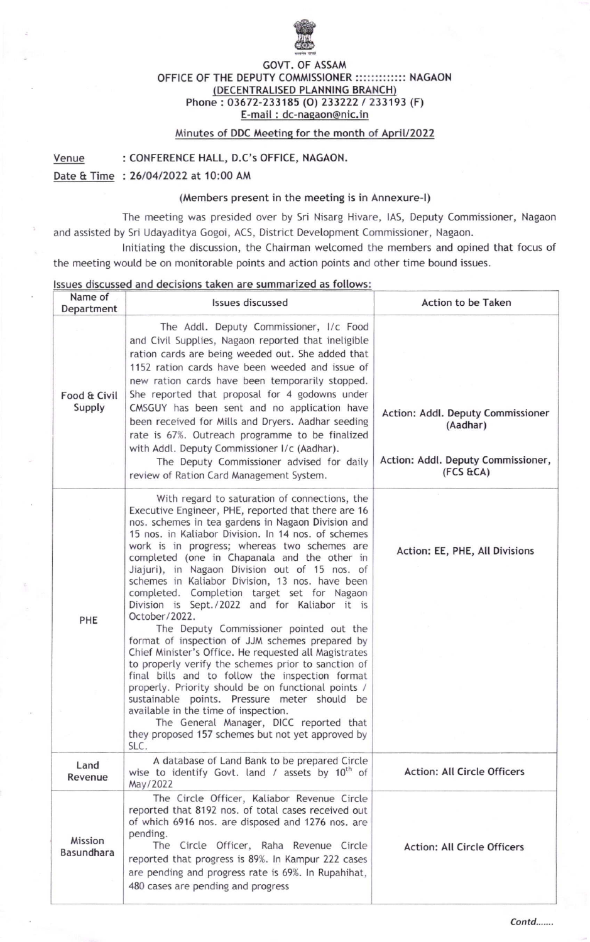

## GOVT. OF ASSAM OFFICE OF THE DEPUTY COMMISSIONER :::::::::::::: NAGAON DECENTRALISED PLANNING BRANCH Phone: 03672-233185 (O) 233222 / 233193 (F) E-mail : dc-naqaon@nic. in

## Minutes of DDC Meetinq for the month of Aoril/2O22

Venue : CONFERENCE HALL, D.C's OFFICE, NAGAON.

Date & Time : 26/04/2022 at 10:00 AM

## (Members present in the meeting is in Annexure-l)

The meeting was presided over by Sri Nisarg Hivare, lAS, Deputy Commissioner, Nagaon and assisted by Sri Udayaditya Gogoi, ACS, District Development Commissioner, Nagaon.

lnitiating the discussion, the Chairman welcomed the members and opined that focus of the meeting would be on monitorable points and action points and other time bound issues.

## lssues discussed and decisions taken are summarized as fotlows:

| Name of<br>Department  | Issues discussed                                                                                                                                                                                                                                                                                                                                                                                                                                                                                                                                                                                                                                                                                                                                                                                                                                                                                                                                                                                                                                                | Action to be Taken                                                                                 |
|------------------------|-----------------------------------------------------------------------------------------------------------------------------------------------------------------------------------------------------------------------------------------------------------------------------------------------------------------------------------------------------------------------------------------------------------------------------------------------------------------------------------------------------------------------------------------------------------------------------------------------------------------------------------------------------------------------------------------------------------------------------------------------------------------------------------------------------------------------------------------------------------------------------------------------------------------------------------------------------------------------------------------------------------------------------------------------------------------|----------------------------------------------------------------------------------------------------|
| Food & Civil<br>Supply | The Addl. Deputy Commissioner, I/c Food<br>and Civil Supplies, Nagaon reported that ineligible<br>ration cards are being weeded out. She added that<br>1152 ration cards have been weeded and issue of<br>new ration cards have been temporarily stopped.<br>She reported that proposal for 4 godowns under<br>CMSGUY has been sent and no application have<br>been received for Mills and Dryers. Aadhar seeding<br>rate is 67%. Outreach programme to be finalized<br>with Addl. Deputy Commissioner I/c (Aadhar).<br>The Deputy Commissioner advised for daily<br>review of Ration Card Management System.                                                                                                                                                                                                                                                                                                                                                                                                                                                   | Action: Addl. Deputy Commissioner<br>(Aadhar)<br>Action: Addl. Deputy Commissioner,<br>(FCS & ECA) |
| PHE                    | With regard to saturation of connections, the<br>Executive Engineer, PHE, reported that there are 16<br>nos. schemes in tea gardens in Nagaon Division and<br>15 nos. in Kaliabor Division. In 14 nos. of schemes<br>work is in progress; whereas two schemes are<br>completed (one in Chapanala and the other in<br>Jiajuri), in Nagaon Division out of 15 nos. of<br>schemes in Kaliabor Division, 13 nos. have been<br>completed. Completion target set for Nagaon<br>Division is Sept./2022 and for Kaliabor it is<br>October/2022.<br>The Deputy Commissioner pointed out the<br>format of inspection of JJM schemes prepared by<br>Chief Minister's Office. He requested all Magistrates<br>to properly verify the schemes prior to sanction of<br>final bills and to follow the inspection format<br>properly. Priority should be on functional points /<br>sustainable points. Pressure meter should be<br>available in the time of inspection.<br>The General Manager, DICC reported that<br>they proposed 157 schemes but not yet approved by<br>SLC. | Action: EE, PHE, All Divisions                                                                     |
| Land<br>Revenue        | A database of Land Bank to be prepared Circle<br>wise to identify Govt. land / assets by $10^{th}$ of<br>May/2022                                                                                                                                                                                                                                                                                                                                                                                                                                                                                                                                                                                                                                                                                                                                                                                                                                                                                                                                               | <b>Action: All Circle Officers</b>                                                                 |
| Mission<br>Basundhara  | The Circle Officer, Kaliabor Revenue Circle<br>reported that 8192 nos. of total cases received out<br>of which 6916 nos. are disposed and 1276 nos. are<br>pending.<br>The Circle Officer, Raha Revenue Circle<br>reported that progress is 89%. In Kampur 222 cases<br>are pending and progress rate is 69%. In Rupahihat,<br>480 cases are pending and progress                                                                                                                                                                                                                                                                                                                                                                                                                                                                                                                                                                                                                                                                                               | <b>Action: All Circle Officers</b>                                                                 |